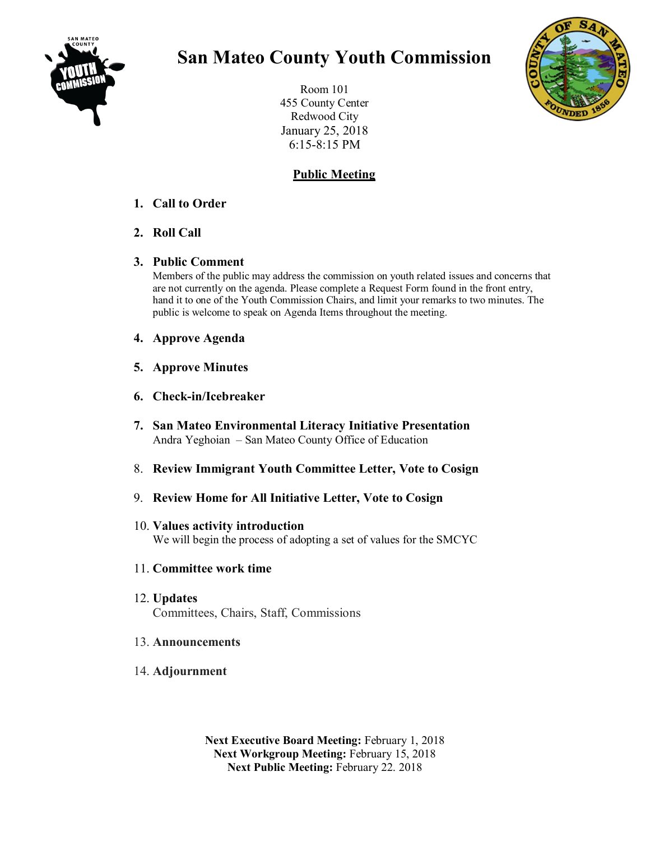

# **San Mateo County Youth Commission**

Room 101 455 County Center Redwood City January 25, 2018 6:15-8:15 PM

## **Public Meeting**

#### **1. Call to Order**

**2. Roll Call** 

#### **3. Public Comment**

Members of the public may address the commission on youth related issues and concerns that are not currently on the agenda. Please complete a Request Form found in the front entry, hand it to one of the Youth Commission Chairs, and limit your remarks to two minutes. The public is welcome to speak on Agenda Items throughout the meeting.

- **4. Approve Agenda**
- **5. Approve Minutes**
- **6. Check-in/Icebreaker**
- **7. San Mateo Environmental Literacy Initiative Presentation** Andra Yeghoian – San Mateo County Office of Education
- 8. **Review Immigrant Youth Committee Letter, Vote to Cosign**
- 9. **Review Home for All Initiative Letter, Vote to Cosign**

#### 10. **Values activity introduction** We will begin the process of adopting a set of values for the SMCYC

### 11. **Committee work time**

12. **Updates** Committees, Chairs, Staff, Commissions

#### 13. **Announcements**

14. **Adjournment**

**Next Executive Board Meeting:** February 1, 2018 **Next Workgroup Meeting:** February 15, 2018 **Next Public Meeting:** February 22. 2018